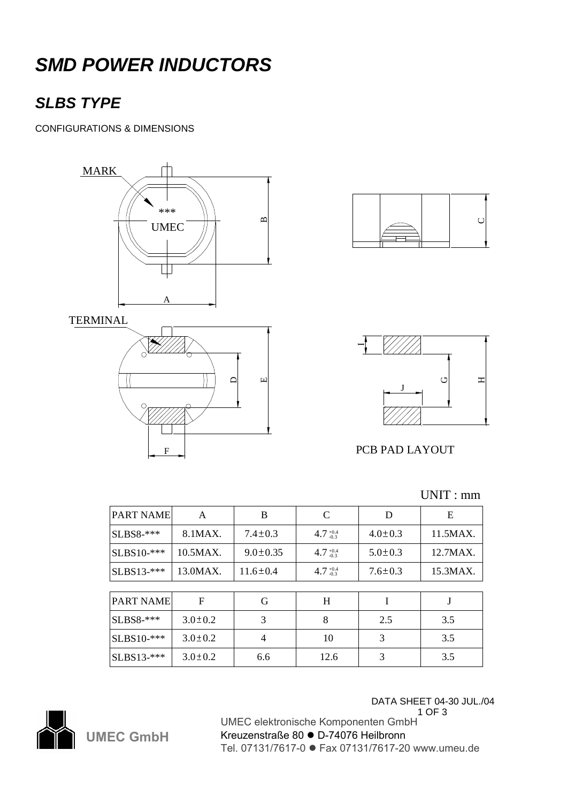# *SMD POWER INDUCTORS*

### *SLBS TYPE*

CONFIGURATIONS & DIMENSIONS







#### PCB PAD LAYOUT

| <b>PART NAME</b>   | A             | B              | C                   | D             | Ε        |
|--------------------|---------------|----------------|---------------------|---------------|----------|
| $\vert$ SLBS8-***  | 8.1MAX.       | $7.4 \pm 0.3$  | $4.7_{-0.3}^{+0.4}$ | $4.0 \pm 0.3$ | 11.5MAX. |
| $\vert$ SLBS10-*** | 10.5MAX.      | $9.0 \pm 0.35$ | $4.7_{-0.3}^{+0.4}$ | $5.0 \pm 0.3$ | 12.7MAX. |
| $SLBS13-***$       | 13.0MAX.      | $11.6 \pm 0.4$ | $4.7_{-0.3}^{+0.4}$ | $7.6 \pm 0.3$ | 15.3MAX. |
|                    |               |                |                     |               |          |
| <b>PART NAME</b>   | F             | G              | H                   | I             | J        |
| <b>SLBS8-***</b>   | $3.0 \pm 0.2$ | 3              | 8                   | 2.5           | 3.5      |
| $\vert$ SLBS10-*** | $3.0 \pm 0.2$ | 4              | 10                  | 3             | 3.5      |
| $SLBS13-***$       | $3.0 \pm 0.2$ | 6.6            | 12.6                | 3             | 3.5      |

UNIT : mm

DATA SHEET 04-30 JUL./04



1 OF 3 UMEC elektronische Komponenten GmbH Kreuzenstraße 80 ● D-74076 Heilbronn Tel. 07131/7617-0 ● Fax 07131/7617-20 www.umeu.de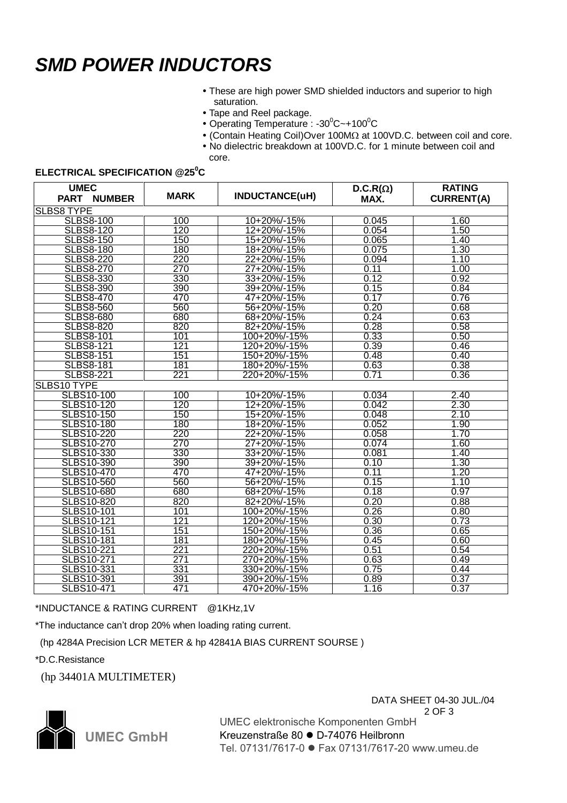### *SMD POWER INDUCTORS*

- These are high power SMD shielded inductors and superior to high saturation.
- Tape and Reel package.
- Operating Temperature : -30 $\mathrm{^0C}$  ~+100 $\mathrm{^0C}$
- $\bullet$  (Contain Heating Coil)Over 100M $\Omega$  at 100VD.C. between coil and core.
- No dielectric breakdown at 100VD.C. for 1 minute between coil and core.

#### **ELECTRICAL SPECIFICATION @25<sup>0</sup>C**

| <b>UMEC</b><br><b>PART</b><br><b>NUMBER</b> | <b>MARK</b>      | INDUCTANCE(uH) | $D.C.R(\Omega)$<br>MAX. | <b>RATING</b><br><b>CURRENT(A)</b> |  |  |  |  |
|---------------------------------------------|------------------|----------------|-------------------------|------------------------------------|--|--|--|--|
| <b>SLBS8 TYPE</b>                           |                  |                |                         |                                    |  |  |  |  |
| <b>SLBS8-100</b>                            | 100              | 10+20%/-15%    | 0.045                   | 1.60                               |  |  |  |  |
| <b>SLBS8-120</b>                            | 120              | 12+20%/-15%    | 0.054                   | 1.50                               |  |  |  |  |
| <b>SLBS8-150</b>                            | 150              | 15+20%/-15%    | 0.065                   | 1.40                               |  |  |  |  |
| <b>SLBS8-180</b>                            | 180              | 18+20%/-15%    | 0.075                   | 1.30                               |  |  |  |  |
| <b>SLBS8-220</b>                            | 220              | 22+20%/-15%    | 0.094                   | 1.10                               |  |  |  |  |
| <b>SLBS8-270</b>                            | 270              | 27+20%/-15%    | 0.11                    | 1.00                               |  |  |  |  |
| <b>SLBS8-330</b>                            | 330              | 33+20%/-15%    | 0.12                    | 0.92                               |  |  |  |  |
| <b>SLBS8-390</b>                            | 390              | 39+20%/-15%    | 0.15                    | 0.84                               |  |  |  |  |
| <b>SLBS8-470</b>                            | 470              | 47+20%/-15%    | 0.17                    | 0.76                               |  |  |  |  |
| <b>SLBS8-560</b>                            | 560              | 56+20%/-15%    | 0.20                    | 0.68                               |  |  |  |  |
| <b>SLBS8-680</b>                            | 680              | 68+20%/-15%    | 0.24                    | 0.63                               |  |  |  |  |
| <b>SLBS8-820</b>                            | 820              | 82+20%/-15%    | 0.28                    | 0.58                               |  |  |  |  |
| <b>SLBS8-101</b>                            | 101              | 100+20%/-15%   | 0.33                    | 0.50                               |  |  |  |  |
| <b>SLBS8-121</b>                            | 121              | 120+20%/-15%   | 0.39                    | 0.46                               |  |  |  |  |
| <b>SLBS8-151</b>                            | 151              | 150+20%/-15%   | 0.48                    | 0.40                               |  |  |  |  |
| <b>SLBS8-181</b>                            | 181              | 180+20%/-15%   | 0.63                    | 0.38                               |  |  |  |  |
| <b>SLBS8-221</b>                            | $\overline{221}$ | 220+20%/-15%   | 0.71                    | 0.36                               |  |  |  |  |
| SLBS10 TYPE                                 |                  |                |                         |                                    |  |  |  |  |
| <b>SLBS10-100</b>                           | 100              | 10+20%/-15%    | 0.034                   | 2.40                               |  |  |  |  |
| <b>SLBS10-120</b>                           | 120              | 12+20%/-15%    | 0.042                   | 2.30                               |  |  |  |  |
| SLBS10-150                                  | 150              | 15+20%/-15%    | 0.048                   | 2.10                               |  |  |  |  |
| <b>SLBS10-180</b>                           | 180              | 18+20%/-15%    | 0.052                   | 1.90                               |  |  |  |  |
| <b>SLBS10-220</b>                           | 220              | 22+20%/-15%    | 0.058                   | 1.70                               |  |  |  |  |
| <b>SLBS10-270</b>                           | 270              | 27+20%/-15%    | 0.074                   | 1.60                               |  |  |  |  |
| SLBS10-330                                  | 330              | 33+20%/-15%    | 0.081                   | 1.40                               |  |  |  |  |
| SLBS10-390                                  | 390              | 39+20%/-15%    | 0.10                    | 1.30                               |  |  |  |  |
| <b>SLBS10-470</b>                           | 470              | 47+20%/-15%    | 0.11                    | 1.20                               |  |  |  |  |
| <b>SLBS10-560</b>                           | 560              | 56+20%/-15%    | 0.15                    | 1.10                               |  |  |  |  |
| <b>SLBS10-680</b>                           | 680              | 68+20%/-15%    | 0.18                    | 0.97                               |  |  |  |  |
| <b>SLBS10-820</b>                           | 820              | 82+20%/-15%    | 0.20                    | 0.88                               |  |  |  |  |
| <b>SLBS10-101</b>                           | 101              | 100+20%/-15%   | 0.26                    | 0.80                               |  |  |  |  |
| SLBS10-121                                  | 121              | 120+20%/-15%   | 0.30                    | 0.73                               |  |  |  |  |
| SLBS10-151                                  | 151              | 150+20%/-15%   | 0.36                    | 0.65                               |  |  |  |  |
| SLBS10-181                                  | 181              | 180+20%/-15%   | 0.45                    | 0.60                               |  |  |  |  |
| SLBS10-221                                  | 221              | 220+20%/-15%   | 0.51                    | 0.54                               |  |  |  |  |
| SLBS10-271                                  | 271              | 270+20%/-15%   | 0.63                    | 0.49                               |  |  |  |  |
| SLBS10-331                                  | 331              | 330+20%/-15%   | 0.75                    | 0.44                               |  |  |  |  |
| SLBS10-391                                  | 391              | 390+20%/-15%   | 0.89                    | 0.37                               |  |  |  |  |
| <b>SLBS10-471</b>                           | 471              | 470+20%/-15%   | 1.16                    | 0.37                               |  |  |  |  |

\*INDUCTANCE & RATING CURRENT @1KHz,1V

\*The inductance can't drop 20% when loading rating current.

(hp 4284A Precision LCR METER & hp 42841A BIAS CURRENT SOURSE )

\*D.C.Resistance

(hp 34401A MULTIMETER)





UMEC elektronische Komponenten GmbH Kreuzenstraße 80 · D-74076 Heilbronn Tel. 07131/7617-0 ● Fax 07131/7617-20 www.umeu.de